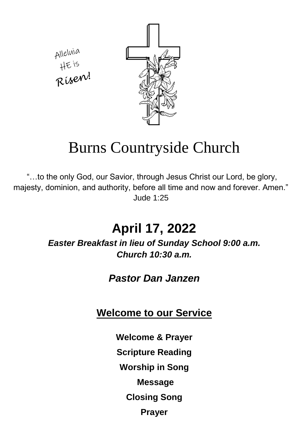Alleluia<br>HE is<br>Risenu!



# Burns Countryside Church

"…to the only God, our Savior, through Jesus Christ our Lord, be glory, majesty, dominion, and authority, before all time and now and forever. Amen." Jude 1:25

# **April 17, 2022**

*Easter Breakfast in lieu of Sunday School 9:00 a.m. Church 10:30 a.m.*

### *Pastor Dan Janzen*

### **Welcome to our Service**

- **Welcome & Prayer**
- **Scripture Reading**
- **Worship in Song**
	- **Message**
	- **Closing Song**
		- **Prayer**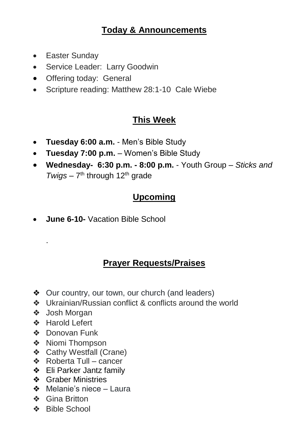#### **Today & Announcements**

- Easter Sundav
- Service Leader: Larry Goodwin
- Offering today: General
- Scripture reading: Matthew 28:1-10 Cale Wiebe

#### **This Week**

- **Tuesday 6:00 a.m.**  Men's Bible Study
- **Tuesday 7:00 p.m.** Women's Bible Study
- **Wednesday- 6:30 p.m. - 8:00 p.m.**  Youth Group *Sticks and*  Twigs – 7<sup>th</sup> through 12<sup>th</sup> grade

#### **Upcoming**

**June 6-10-** Vacation Bible School

#### **Prayer Requests/Praises**

- ❖ Our country, our town, our church (and leaders)
- ❖ Ukrainian/Russian conflict & conflicts around the world
- ❖ Josh Morgan

.

- ❖ Harold Lefert
- ❖ Donovan Funk
- ❖ Niomi Thompson
- ❖ Cathy Westfall (Crane)
- ❖ Roberta Tull cancer
- ❖ Eli Parker Jantz family
- ❖ Graber Ministries
- ❖ Melanie's niece Laura
- ❖ Gina Britton
- ❖ Bible School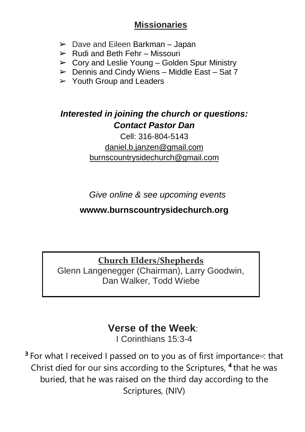#### **Missionaries**

- $\geq$  Dave and Eileen Barkman Japan
- $\triangleright$  Rudi and Beth Fehr Missouri
- $\triangleright$  Cory and Leslie Young Golden Spur Ministry
- $\triangleright$  Dennis and Cindy Wiens Middle East Sat 7
- $\geq$  Youth Group and Leaders

#### *Interested in joining the church or questions: Contact Pastor Dan*

#### Cell: 316-804-5143 [daniel.b.janzen@gmail.com](mailto:daniel.b.janzen@gmail.com) burnscountrysidechurch@gmail.com

*Give online & see upcoming events*

#### **wwww.burnscountrysidechurch.org**

**Church Elders/Shepherds**

Glenn Langenegger (Chairman), Larry Goodwin, Dan Walker, Todd Wiebe

## **Verse of the Week**:

I Corinthians 15:3-4

<sup>3</sup> For what I received I passed on to you as of first importance<sup>[\[a\]](https://www.biblegateway.com/passage/?search=1%20Corinthians%2015%3A3-4&version=NIV#fen-NIV-28722a)</sup>: that Christ died for our sins according to the Scriptures, **<sup>4</sup>** that he was buried, that he was raised on the third day according to the Scriptures, (NIV)